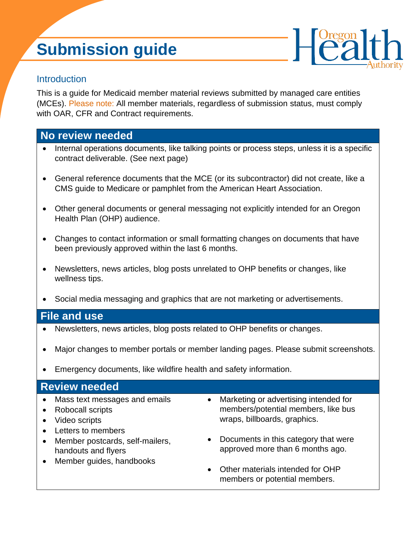# **Submission guide**



## **Introduction**

This is a guide for Medicaid member material reviews submitted by managed care entities (MCEs). Please note: All member materials, regardless of submission status, must comply with OAR, CFR and Contract requirements.

## **No review needed**

- Internal operations documents, like talking points or process steps, unless it is a specific contract deliverable. (See next page)
- General reference documents that the MCE (or its subcontractor) did not create, like a CMS guide to Medicare or pamphlet from the American Heart Association.
- Other general documents or general messaging not explicitly intended for an Oregon Health Plan (OHP) audience.
- Changes to contact information or small formatting changes on documents that have been previously approved within the last 6 months.
- Newsletters, news articles, blog posts unrelated to OHP benefits or changes, like wellness tips.
- Social media messaging and graphics that are not marketing or advertisements.

## **File and use**

- Newsletters, news articles, blog posts related to OHP benefits or changes.
- Major changes to member portals or member landing pages. Please submit screenshots.
- Emergency documents, like wildfire health and safety information.

### **Review needed**

- Mass text messages and emails
- Robocall scripts
- Video scripts
- Letters to members
- Member postcards, self-mailers, handouts and flyers
- Member guides, handbooks
- Marketing or advertising intended for members/potential members, like bus wraps, billboards, graphics.
- Documents in this category that were approved more than 6 months ago.
- Other materials intended for OHP members or potential members.